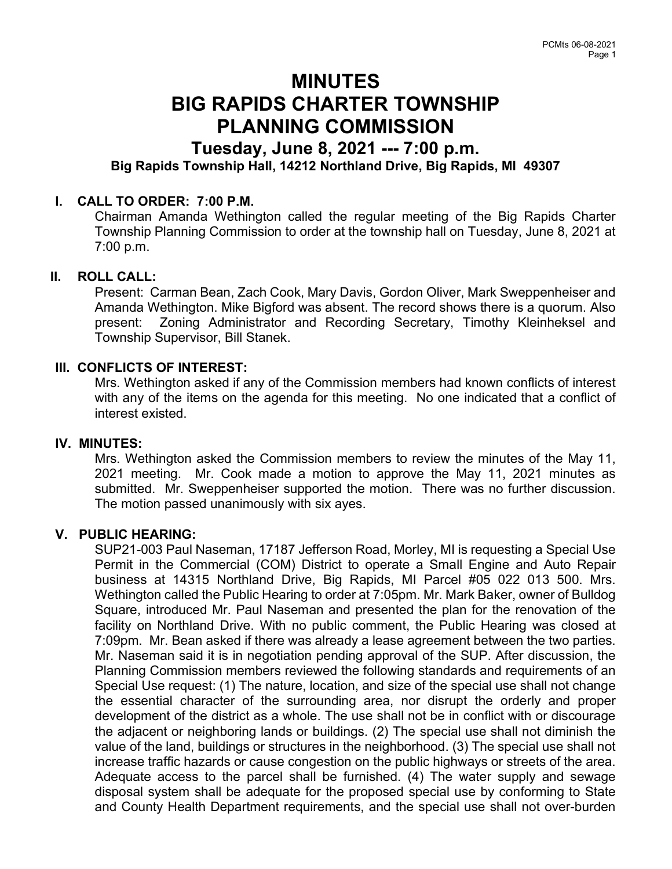# MINUTES BIG RAPIDS CHARTER TOWNSHIP PLANNING COMMISSION

## Tuesday, June 8, 2021 --- 7:00 p.m. Big Rapids Township Hall, 14212 Northland Drive, Big Rapids, MI 49307

## I. CALL TO ORDER: 7:00 P.M.

Chairman Amanda Wethington called the regular meeting of the Big Rapids Charter Township Planning Commission to order at the township hall on Tuesday, June 8, 2021 at 7:00 p.m.

#### II. ROLL CALL:

Present: Carman Bean, Zach Cook, Mary Davis, Gordon Oliver, Mark Sweppenheiser and Amanda Wethington. Mike Bigford was absent. The record shows there is a quorum. Also present: Zoning Administrator and Recording Secretary, Timothy Kleinheksel and Township Supervisor, Bill Stanek.

#### III. CONFLICTS OF INTEREST:

Mrs. Wethington asked if any of the Commission members had known conflicts of interest with any of the items on the agenda for this meeting. No one indicated that a conflict of interest existed.

#### IV. MINUTES:

Mrs. Wethington asked the Commission members to review the minutes of the May 11, 2021 meeting. Mr. Cook made a motion to approve the May 11, 2021 minutes as submitted. Mr. Sweppenheiser supported the motion. There was no further discussion. The motion passed unanimously with six ayes.

#### V. PUBLIC HEARING:

SUP21-003 Paul Naseman, 17187 Jefferson Road, Morley, MI is requesting a Special Use Permit in the Commercial (COM) District to operate a Small Engine and Auto Repair business at 14315 Northland Drive, Big Rapids, MI Parcel #05 022 013 500. Mrs. Wethington called the Public Hearing to order at 7:05pm. Mr. Mark Baker, owner of Bulldog Square, introduced Mr. Paul Naseman and presented the plan for the renovation of the facility on Northland Drive. With no public comment, the Public Hearing was closed at 7:09pm. Mr. Bean asked if there was already a lease agreement between the two parties. Mr. Naseman said it is in negotiation pending approval of the SUP. After discussion, the Planning Commission members reviewed the following standards and requirements of an Special Use request: (1) The nature, location, and size of the special use shall not change the essential character of the surrounding area, nor disrupt the orderly and proper development of the district as a whole. The use shall not be in conflict with or discourage the adjacent or neighboring lands or buildings. (2) The special use shall not diminish the value of the land, buildings or structures in the neighborhood. (3) The special use shall not increase traffic hazards or cause congestion on the public highways or streets of the area. Adequate access to the parcel shall be furnished. (4) The water supply and sewage disposal system shall be adequate for the proposed special use by conforming to State and County Health Department requirements, and the special use shall not over-burden